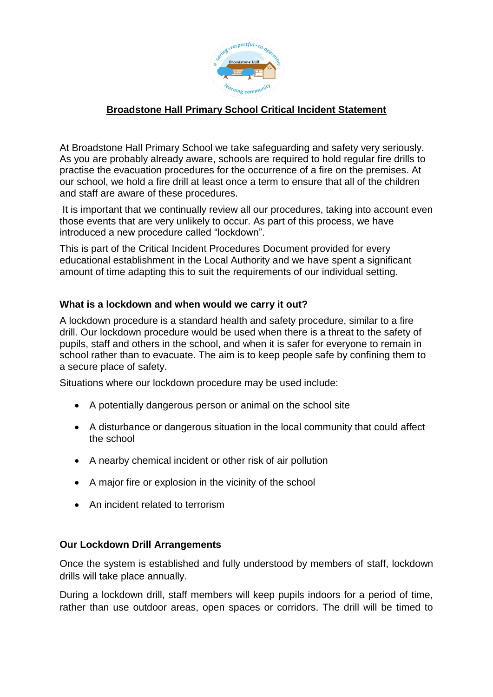

## **Broadstone Hall Primary School Critical Incident Statement**

At Broadstone Hall Primary School we take safeguarding and safety very seriously. As you are probably already aware, schools are required to hold regular fire drills to practise the evacuation procedures for the occurrence of a fire on the premises. At our school, we hold a fire drill at least once a term to ensure that all of the children and staff are aware of these procedures.

It is important that we continually review all our procedures, taking into account even those events that are very unlikely to occur. As part of this process, we have introduced a new procedure called "lockdown".

This is part of the Critical Incident Procedures Document provided for every educational establishment in the Local Authority and we have spent a significant amount of time adapting this to suit the requirements of our individual setting.

## **What is a lockdown and when would we carry it out?**

A lockdown procedure is a standard health and safety procedure, similar to a fire drill. Our lockdown procedure would be used when there is a threat to the safety of pupils, staff and others in the school, and when it is safer for everyone to remain in school rather than to evacuate. The aim is to keep people safe by confining them to a secure place of safety.

Situations where our lockdown procedure may be used include:

- A potentially dangerous person or animal on the school site
- A disturbance or dangerous situation in the local community that could affect the school
- A nearby chemical incident or other risk of air pollution
- A major fire or explosion in the vicinity of the school
- An incident related to terrorism

## **Our Lockdown Drill Arrangements**

Once the system is established and fully understood by members of staff, lockdown drills will take place annually.

During a lockdown drill, staff members will keep pupils indoors for a period of time, rather than use outdoor areas, open spaces or corridors. The drill will be timed to